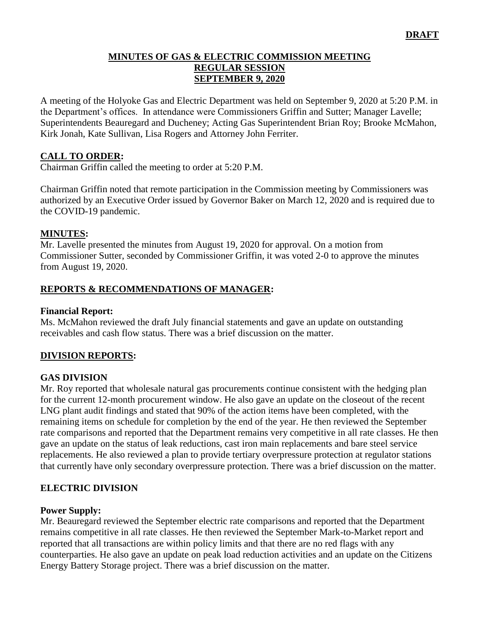### **MINUTES OF GAS & ELECTRIC COMMISSION MEETING REGULAR SESSION SEPTEMBER 9, 2020**

A meeting of the Holyoke Gas and Electric Department was held on September 9, 2020 at 5:20 P.M. in the Department's offices. In attendance were Commissioners Griffin and Sutter; Manager Lavelle; Superintendents Beauregard and Ducheney; Acting Gas Superintendent Brian Roy; Brooke McMahon, Kirk Jonah, Kate Sullivan, Lisa Rogers and Attorney John Ferriter.

### **CALL TO ORDER:**

Chairman Griffin called the meeting to order at 5:20 P.M.

Chairman Griffin noted that remote participation in the Commission meeting by Commissioners was authorized by an Executive Order issued by Governor Baker on March 12, 2020 and is required due to the COVID-19 pandemic.

### **MINUTES:**

Mr. Lavelle presented the minutes from August 19, 2020 for approval. On a motion from Commissioner Sutter, seconded by Commissioner Griffin, it was voted 2-0 to approve the minutes from August 19, 2020.

### **REPORTS & RECOMMENDATIONS OF MANAGER:**

#### **Financial Report:**

Ms. McMahon reviewed the draft July financial statements and gave an update on outstanding receivables and cash flow status. There was a brief discussion on the matter.

### **DIVISION REPORTS:**

### **GAS DIVISION**

Mr. Roy reported that wholesale natural gas procurements continue consistent with the hedging plan for the current 12-month procurement window. He also gave an update on the closeout of the recent LNG plant audit findings and stated that 90% of the action items have been completed, with the remaining items on schedule for completion by the end of the year. He then reviewed the September rate comparisons and reported that the Department remains very competitive in all rate classes. He then gave an update on the status of leak reductions, cast iron main replacements and bare steel service replacements. He also reviewed a plan to provide tertiary overpressure protection at regulator stations that currently have only secondary overpressure protection. There was a brief discussion on the matter.

### **ELECTRIC DIVISION**

#### **Power Supply:**

Mr. Beauregard reviewed the September electric rate comparisons and reported that the Department remains competitive in all rate classes. He then reviewed the September Mark-to-Market report and reported that all transactions are within policy limits and that there are no red flags with any counterparties. He also gave an update on peak load reduction activities and an update on the Citizens Energy Battery Storage project. There was a brief discussion on the matter.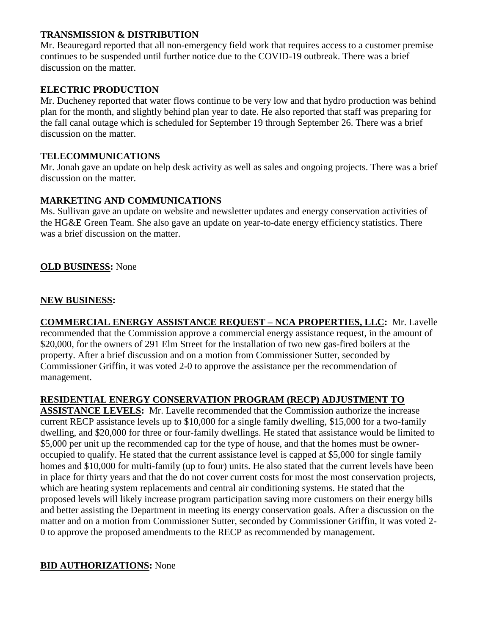### **TRANSMISSION & DISTRIBUTION**

Mr. Beauregard reported that all non-emergency field work that requires access to a customer premise continues to be suspended until further notice due to the COVID-19 outbreak. There was a brief discussion on the matter.

# **ELECTRIC PRODUCTION**

Mr. Ducheney reported that water flows continue to be very low and that hydro production was behind plan for the month, and slightly behind plan year to date. He also reported that staff was preparing for the fall canal outage which is scheduled for September 19 through September 26. There was a brief discussion on the matter.

# **TELECOMMUNICATIONS**

Mr. Jonah gave an update on help desk activity as well as sales and ongoing projects. There was a brief discussion on the matter.

### **MARKETING AND COMMUNICATIONS**

Ms. Sullivan gave an update on website and newsletter updates and energy conservation activities of the HG&E Green Team. She also gave an update on year-to-date energy efficiency statistics. There was a brief discussion on the matter.

# **OLD BUSINESS:** None

### **NEW BUSINESS:**

**COMMERCIAL ENERGY ASSISTANCE REQUEST – NCA PROPERTIES, LLC:** Mr. Lavelle recommended that the Commission approve a commercial energy assistance request, in the amount of \$20,000, for the owners of 291 Elm Street for the installation of two new gas-fired boilers at the property. After a brief discussion and on a motion from Commissioner Sutter, seconded by Commissioner Griffin, it was voted 2-0 to approve the assistance per the recommendation of management.

# **RESIDENTIAL ENERGY CONSERVATION PROGRAM (RECP) ADJUSTMENT TO**

**ASSISTANCE LEVELS:** Mr. Lavelle recommended that the Commission authorize the increase current RECP assistance levels up to \$10,000 for a single family dwelling, \$15,000 for a two-family dwelling, and \$20,000 for three or four-family dwellings. He stated that assistance would be limited to \$5,000 per unit up the recommended cap for the type of house, and that the homes must be owneroccupied to qualify. He stated that the current assistance level is capped at \$5,000 for single family homes and \$10,000 for multi-family (up to four) units. He also stated that the current levels have been in place for thirty years and that the do not cover current costs for most the most conservation projects, which are heating system replacements and central air conditioning systems. He stated that the proposed levels will likely increase program participation saving more customers on their energy bills and better assisting the Department in meeting its energy conservation goals. After a discussion on the matter and on a motion from Commissioner Sutter, seconded by Commissioner Griffin, it was voted 2- 0 to approve the proposed amendments to the RECP as recommended by management.

### **BID AUTHORIZATIONS:** None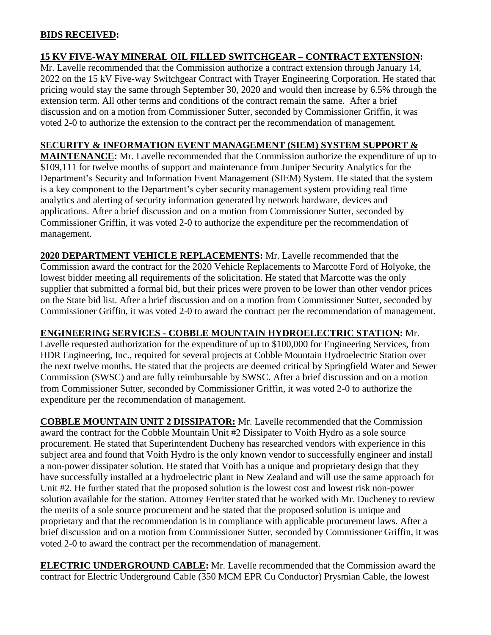### **BIDS RECEIVED:**

# **15 KV FIVE-WAY MINERAL OIL FILLED SWITCHGEAR – CONTRACT EXTENSION:**

Mr. Lavelle recommended that the Commission authorize a contract extension through January 14, 2022 on the 15 kV Five-way Switchgear Contract with Trayer Engineering Corporation. He stated that pricing would stay the same through September 30, 2020 and would then increase by 6.5% through the extension term. All other terms and conditions of the contract remain the same. After a brief discussion and on a motion from Commissioner Sutter, seconded by Commissioner Griffin, it was voted 2-0 to authorize the extension to the contract per the recommendation of management.

### **SECURITY & INFORMATION EVENT MANAGEMENT (SIEM) SYSTEM SUPPORT &**

**MAINTENANCE:** Mr. Lavelle recommended that the Commission authorize the expenditure of up to \$109,111 for twelve months of support and maintenance from Juniper Security Analytics for the Department's Security and Information Event Management (SIEM) System. He stated that the system is a key component to the Department's cyber security management system providing real time analytics and alerting of security information generated by network hardware, devices and applications. After a brief discussion and on a motion from Commissioner Sutter, seconded by Commissioner Griffin, it was voted 2-0 to authorize the expenditure per the recommendation of management.

**2020 DEPARTMENT VEHICLE REPLACEMENTS:** Mr. Lavelle recommended that the Commission award the contract for the 2020 Vehicle Replacements to Marcotte Ford of Holyoke, the lowest bidder meeting all requirements of the solicitation. He stated that Marcotte was the only supplier that submitted a formal bid, but their prices were proven to be lower than other vendor prices on the State bid list. After a brief discussion and on a motion from Commissioner Sutter, seconded by Commissioner Griffin, it was voted 2-0 to award the contract per the recommendation of management.

# **ENGINEERING SERVICES - COBBLE MOUNTAIN HYDROELECTRIC STATION:** Mr.

Lavelle requested authorization for the expenditure of up to \$100,000 for Engineering Services, from HDR Engineering, Inc., required for several projects at Cobble Mountain Hydroelectric Station over the next twelve months. He stated that the projects are deemed critical by Springfield Water and Sewer Commission (SWSC) and are fully reimbursable by SWSC. After a brief discussion and on a motion from Commissioner Sutter, seconded by Commissioner Griffin, it was voted 2-0 to authorize the expenditure per the recommendation of management.

**COBBLE MOUNTAIN UNIT 2 DISSIPATOR:** Mr. Lavelle recommended that the Commission award the contract for the Cobble Mountain Unit #2 Dissipater to Voith Hydro as a sole source procurement. He stated that Superintendent Ducheny has researched vendors with experience in this subject area and found that Voith Hydro is the only known vendor to successfully engineer and install a non-power dissipater solution. He stated that Voith has a unique and proprietary design that they have successfully installed at a hydroelectric plant in New Zealand and will use the same approach for Unit #2. He further stated that the proposed solution is the lowest cost and lowest risk non-power solution available for the station. Attorney Ferriter stated that he worked with Mr. Ducheney to review the merits of a sole source procurement and he stated that the proposed solution is unique and proprietary and that the recommendation is in compliance with applicable procurement laws. After a brief discussion and on a motion from Commissioner Sutter, seconded by Commissioner Griffin, it was voted 2-0 to award the contract per the recommendation of management.

**ELECTRIC UNDERGROUND CABLE:** Mr. Lavelle recommended that the Commission award the contract for Electric Underground Cable (350 MCM EPR Cu Conductor) Prysmian Cable, the lowest